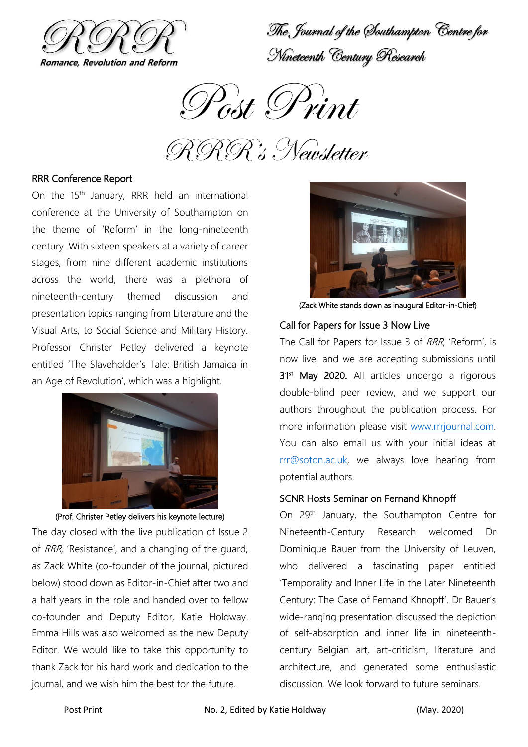

The Journal of the Southampton Centre for Nineteenth Century Research

Post Print

RRR's Newsletter

## RRR Conference Report

On the  $15<sup>th</sup>$  January, RRR held an international conference at the University of Southampton on the theme of 'Reform' in the long-nineteenth century. With sixteen speakers at a variety of career stages, from nine different academic institutions across the world, there was a plethora of nineteenth-century themed discussion and presentation topics ranging from Literature and the Visual Arts, to Social Science and Military History. Professor Christer Petley delivered a keynote entitled 'The Slaveholder's Tale: British Jamaica in an Age of Revolution', which was a highlight.



(Prof. Christer Petley delivers his keynote lecture)

The day closed with the live publication of Issue 2 of RRR, 'Resistance', and a changing of the guard, as Zack White (co-founder of the journal, pictured below) stood down as Editor-in-Chief after two and a half years in the role and handed over to fellow co-founder and Deputy Editor, Katie Holdway. Emma Hills was also welcomed as the new Deputy Editor. We would like to take this opportunity to thank Zack for his hard work and dedication to the journal, and we wish him the best for the future.



(Zack White stands down as inaugural Editor-in-Chief)

# Call for Papers for Issue 3 Now Live

The Call for Papers for Issue 3 of RRR, 'Reform', is now live, and we are accepting submissions until 31<sup>st</sup> May 2020. All articles undergo a rigorous double-blind peer review, and we support our authors throughout the publication process. For more information please visit [www.rrrjournal.com.](http://www.rrrjournal.com/) You can also email us with your initial ideas at [rrr@soton.ac.uk,](mailto:rrr@soton.ac.uk) we always love hearing from potential authors.

#### SCNR Hosts Seminar on Fernand Khnopff

On 29<sup>th</sup> January, the Southampton Centre for Nineteenth-Century Research welcomed Dr Dominique Bauer from the University of Leuven, who delivered a fascinating paper entitled 'Temporality and Inner Life in the Later Nineteenth Century: The Case of Fernand Khnopff'. Dr Bauer's wide-ranging presentation discussed the depiction of self-absorption and inner life in nineteenthcentury Belgian art, art-criticism, literature and architecture, and generated some enthusiastic discussion. We look forward to future seminars.